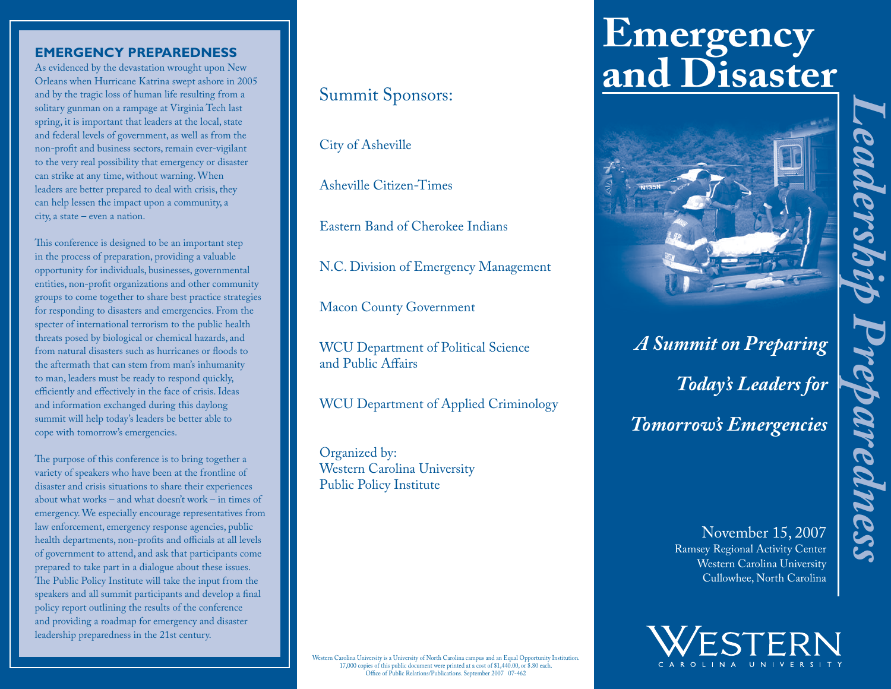#### **EMERGENCY PREPAREDNESS**

As evidenced by the devastation wrought upon New Orleans when Hurricane Katrina swept ashore in 2005 and by the tragic loss of human life resulting from a solitary gunman on a rampage at Virginia Tech last spring, it is important that leaders at the local, state and federal levels of government, as well as from the non-profit and business sectors, remain ever-vigilant to the very real possibility that emergency or disaster can strike at any time, without warning. When leaders are better prepared to deal with crisis, they can help lessen the impact upon a community, a city, a state – even a nation.

This conference is designed to be an important step in the process of preparation, providing a valuable opportunity for individuals, businesses, governmental entities, non-profit organizations and other community groups to come together to share best practice strategies for responding to disasters and emergencies. From the specter of international terrorism to the public health threats posed by biological or chemical hazards, and from natural disasters such as hurricanes or floods to the aftermath that can stem from man's inhumanity to man, leaders must be ready to respond quickly, efficiently and effectively in the face of crisis. Ideas and information exchanged during this daylong summit will help today's leaders be better able to cope with tomorrow's emergencies.

The purpose of this conference is to bring together a variety of speakers who have been at the frontline of disaster and crisis situations to share their experiences about what works – and what doesn't work – in times of emergency. We especially encourage representatives from law enforcement, emergency response agencies, public health departments, non-profits and officials at all levels of government to attend, and ask that participants come prepared to take part in a dialogue about these issues. The Public Policy Institute will take the input from the speakers and all summit participants and develop a final policy report outlining the results of the conference and providing a roadmap for emergency and disaster leadership preparedness in the 21st century.

### Summit Sponsors:

City of Asheville

Asheville Citizen-Times

Eastern Band of Cherokee Indians

N.C. Division of Emergency Management

Macon County Government

WCU Department of Political Science and Public Affairs

WCU Department of Applied Criminology

Organized by: Western Carolina University Public Policy Institute

# **Emergency and Disaster**



## *A Summit on Preparing Today's Leaders for Tomorrow's Emergencies*

*Leadership Preparedness* 

epareaness

November 15, 2007 Ramsey Regional Activity Center Western Carolina University Cullowhee, North Carolina



Western Carolina University is a University of North Carolina campus and an Equal Opportunity Institution. 17,000 copies of this public document were printed at a cost of \$1,440.00, or \$.80 each. Office of Public Relations/Publications. September 2007 07-462